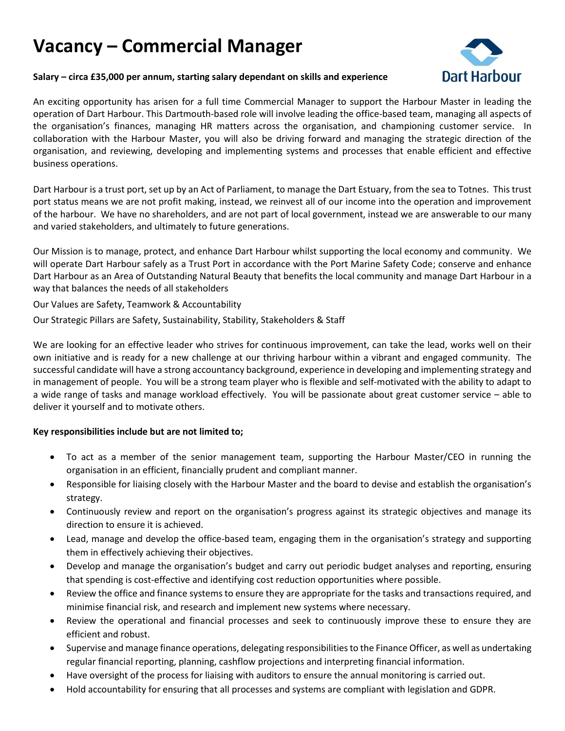# **Vacancy – Commercial Manager**



#### **Salary – circa £35,000 per annum, starting salary dependant on skills and experience**

An exciting opportunity has arisen for a full time Commercial Manager to support the Harbour Master in leading the operation of Dart Harbour. This Dartmouth-based role will involve leading the office-based team, managing all aspects of the organisation's finances, managing HR matters across the organisation, and championing customer service. In collaboration with the Harbour Master, you will also be driving forward and managing the strategic direction of the organisation, and reviewing, developing and implementing systems and processes that enable efficient and effective business operations.

Dart Harbour is a trust port, set up by an Act of Parliament, to manage the Dart Estuary, from the sea to Totnes. This trust port status means we are not profit making, instead, we reinvest all of our income into the operation and improvement of the harbour. We have no shareholders, and are not part of local government, instead we are answerable to our many and varied stakeholders, and ultimately to future generations.

Our Mission is to manage, protect, and enhance Dart Harbour whilst supporting the local economy and community. We will operate Dart Harbour safely as a Trust Port in accordance with the Port Marine Safety Code; conserve and enhance Dart Harbour as an Area of Outstanding Natural Beauty that benefits the local community and manage Dart Harbour in a way that balances the needs of all stakeholders

Our Values are Safety, Teamwork & Accountability

Our Strategic Pillars are Safety, Sustainability, Stability, Stakeholders & Staff

We are looking for an effective leader who strives for continuous improvement, can take the lead, works well on their own initiative and is ready for a new challenge at our thriving harbour within a vibrant and engaged community. The successful candidate will have a strong accountancy background, experience in developing and implementing strategy and in management of people. You will be a strong team player who is flexible and self-motivated with the ability to adapt to a wide range of tasks and manage workload effectively. You will be passionate about great customer service – able to deliver it yourself and to motivate others.

## **Key responsibilities include but are not limited to;**

- To act as a member of the senior management team, supporting the Harbour Master/CEO in running the organisation in an efficient, financially prudent and compliant manner.
- Responsible for liaising closely with the Harbour Master and the board to devise and establish the organisation's strategy.
- Continuously review and report on the organisation's progress against its strategic objectives and manage its direction to ensure it is achieved.
- Lead, manage and develop the office-based team, engaging them in the organisation's strategy and supporting them in effectively achieving their objectives.
- Develop and manage the organisation's budget and carry out periodic budget analyses and reporting, ensuring that spending is cost-effective and identifying cost reduction opportunities where possible.
- Review the office and finance systems to ensure they are appropriate for the tasks and transactions required, and minimise financial risk, and research and implement new systems where necessary.
- Review the operational and financial processes and seek to continuously improve these to ensure they are efficient and robust.
- Supervise and manage finance operations, delegating responsibilities to the Finance Officer, as well as undertaking regular financial reporting, planning, cashflow projections and interpreting financial information.
- Have oversight of the process for liaising with auditors to ensure the annual monitoring is carried out.
- Hold accountability for ensuring that all processes and systems are compliant with legislation and GDPR.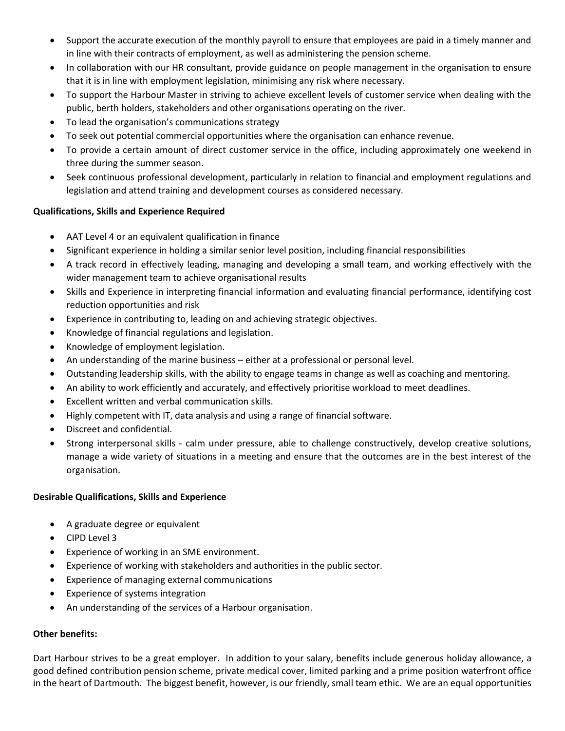- Support the accurate execution of the monthly payroll to ensure that employees are paid in a timely manner and in line with their contracts of employment, as well as administering the pension scheme.
- In collaboration with our HR consultant, provide guidance on people management in the organisation to ensure that it is in line with employment legislation, minimising any risk where necessary.
- To support the Harbour Master in striving to achieve excellent levels of customer service when dealing with the public, berth holders, stakeholders and other organisations operating on the river.
- To lead the organisation's communications strategy
- To seek out potential commercial opportunities where the organisation can enhance revenue.
- To provide a certain amount of direct customer service in the office, including approximately one weekend in three during the summer season.
- Seek continuous professional development, particularly in relation to financial and employment regulations and legislation and attend training and development courses as considered necessary.

## **Qualifications, Skills and Experience Required**

- AAT Level 4 or an equivalent qualification in finance
- Significant experience in holding a similar senior level position, including financial responsibilities
- A track record in effectively leading, managing and developing a small team, and working effectively with the wider management team to achieve organisational results
- Skills and Experience in interpreting financial information and evaluating financial performance, identifying cost reduction opportunities and risk
- Experience in contributing to, leading on and achieving strategic objectives.
- Knowledge of financial regulations and legislation.
- Knowledge of employment legislation.
- An understanding of the marine business either at a professional or personal level.
- Outstanding leadership skills, with the ability to engage teams in change as well as coaching and mentoring.
- An ability to work efficiently and accurately, and effectively prioritise workload to meet deadlines.
- Excellent written and verbal communication skills.
- Highly competent with IT, data analysis and using a range of financial software.
- Discreet and confidential.
- Strong interpersonal skills calm under pressure, able to challenge constructively, develop creative solutions, manage a wide variety of situations in a meeting and ensure that the outcomes are in the best interest of the organisation.

## **Desirable Qualifications, Skills and Experience**

- A graduate degree or equivalent
- CIPD Level 3
- Experience of working in an SME environment.
- Experience of working with stakeholders and authorities in the public sector.
- Experience of managing external communications
- Experience of systems integration
- An understanding of the services of a Harbour organisation.

## **Other benefits:**

Dart Harbour strives to be a great employer. In addition to your salary, benefits include generous holiday allowance, a good defined contribution pension scheme, private medical cover, limited parking and a prime position waterfront office in the heart of Dartmouth. The biggest benefit, however, is our friendly, small team ethic. We are an equal opportunities